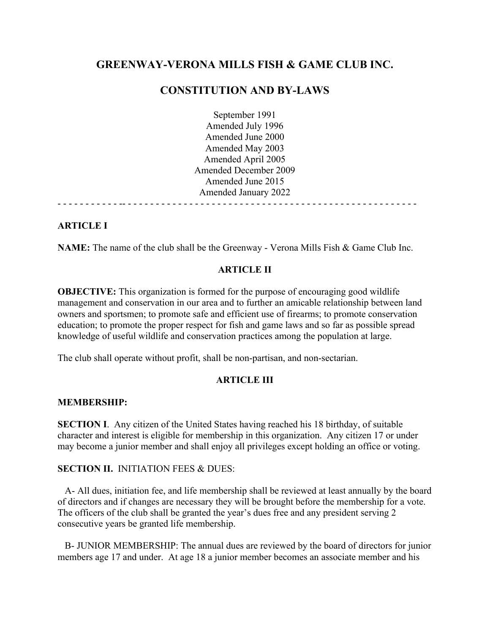# GREENWAY-VERONA MILLS FISH & GAME CLUB INC.

# CONSTITUTION AND BY-LAWS

September 1991 Amended July 1996 Amended June 2000 Amended May 2003 Amended April 2005 Amended December 2009 Amended June 2015 Amended January 2022 - - - - - - - - - - - -- - - - - - - - - - - - - - - - - - - - - - - - - - - - - - - - - - - - - - - - - - - - - - - - - - - - -

# ARTICLE I

NAME: The name of the club shall be the Greenway - Verona Mills Fish & Game Club Inc.

# ARTICLE II

OBJECTIVE: This organization is formed for the purpose of encouraging good wildlife management and conservation in our area and to further an amicable relationship between land owners and sportsmen; to promote safe and efficient use of firearms; to promote conservation education; to promote the proper respect for fish and game laws and so far as possible spread knowledge of useful wildlife and conservation practices among the population at large.

The club shall operate without profit, shall be non-partisan, and non-sectarian.

## ARTICLE III

## MEMBERSHIP:

SECTION I. Any citizen of the United States having reached his 18 birthday, of suitable character and interest is eligible for membership in this organization. Any citizen 17 or under may become a junior member and shall enjoy all privileges except holding an office or voting.

## SECTION II. INITIATION FEES & DUES:

A- All dues, initiation fee, and life membership shall be reviewed at least annually by the board of directors and if changes are necessary they will be brought before the membership for a vote. The officers of the club shall be granted the year's dues free and any president serving 2 consecutive years be granted life membership.

B- JUNIOR MEMBERSHIP: The annual dues are reviewed by the board of directors for junior members age 17 and under. At age 18 a junior member becomes an associate member and his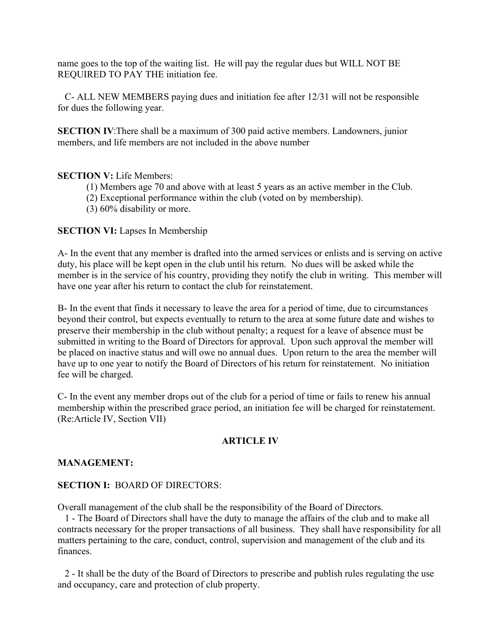name goes to the top of the waiting list. He will pay the regular dues but WILL NOT BE REQUIRED TO PAY THE initiation fee.

C- ALL NEW MEMBERS paying dues and initiation fee after 12/31 will not be responsible for dues the following year.

SECTION IV:There shall be a maximum of 300 paid active members. Landowners, junior members, and life members are not included in the above number

# SECTION V: Life Members:

- (1) Members age 70 and above with at least 5 years as an active member in the Club.
- (2) Exceptional performance within the club (voted on by membership).
- (3) 60% disability or more.

# SECTION VI: Lapses In Membership

A- In the event that any member is drafted into the armed services orenlists and is serving on active duty, his place will be kept open in the club until his return. No dues will be asked while the member is in the service of his country, providing they notify the club in writing. This member will have one year after his return to contact the club for reinstatement.

B- In the event that finds it necessary to leave the area for a period of time, due to circumstances beyond their control, but expects eventually to return to the area at some future date and wishes to preserve their membership in the club without penalty; a request for a leave of absence must be submitted in writing to the Board of Directors for approval. Upon such approval the member will be placed on inactive status and will owe no annual dues. Upon return to the area the member will have up to one year to notify the Board of Directors of his return for reinstatement. No initiation fee will be charged.<br>C- In the event any member drops out of the club for a period of time or fails to renew his annual

membership within the prescribed grace period, an initiation fee will be charged for reinstatement. (Re:Article IV, Section VII)

## ARTICLE IV

## MANAGEMENT:

# SECTION I: BOARD OF DIRECTORS:

Overall management of the club shall be the responsibility of the Board of Directors.

1 - The Board of Directors shall have the duty to manage the affairs of the club and to make all contracts necessary for the proper transactions of all business. They shall have responsibility for all matters pertaining to the care, conduct, control, supervision and management of the club and its finances.

2 - It shall be the duty of the Board of Directors to prescribe and publish rules regulating the use and occupancy, care and protection of club property.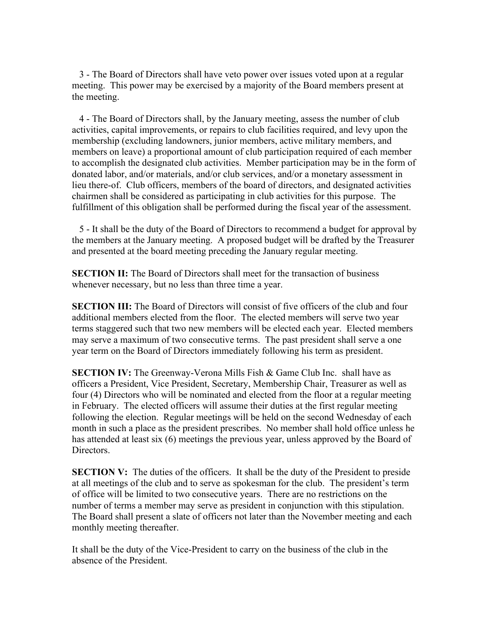3 - The Board of Directors shallhave veto power over issues voted upon at a regular meeting. This power may be exercised by a majority of the Board members present at the meeting.<br>4 - The Board of Directors shall, by the January meeting, assess the number of club

activities, capital improvements, or repairs to club facilities required, and levy upon the membership (excluding landowners, junior members, active military members, and members on leave) a proportional amount of club participation required of each member to accomplish the designated club activities. Member participation may be in the form of donated labor, and/or materials, and/or club services, and/or a monetary assessment in lieu there-of. Club officers, members of the board of directors, and designated activities chairmen shall be considered as participating in club activities for this purpose. The fulfillment of this obligation shall be performed during the fiscal year of the assessment.

5 - It shall be the duty of the Board of Directors to recommend a budget for approval by the members at the January meeting. A proposed budget will be drafted by the Treasurer and presented at the board meeting preceding the January regular meeting.

SECTION II: The Board of Directors shall meet for the transaction of business whenever necessary, but no less than three time a year.

**SECTION III:** The Board of Directors will consist of five officers of the club and four additional members elected from the floor. The elected members will serve two year terms staggered such that two new members will be elected each year. Elected members may serve a maximum of two consecutive terms. The past president shall serve a one year term on the Board of Directors immediately following his term as president.

SECTION IV: The Greenway-Verona Mills Fish & Game Club Inc. shall have as officers a President, Vice President, Secretary, Membership Chair, Treasurer as well as four (4) Directors who will be nominated and elected from the floor at a regular meeting in February. The elected officers will assume their duties at the first regular meeting following the election. Regular meetings will be held on the second Wednesday of each month in such a place asthe president prescribes. No member shall hold office unless he has attended at least six (6) meetings the previous year, unless approved by the Board of Directors.

**SECTION V:** The duties of the officers. It shall be the duty of the President to preside at all meetings of the club and to serve as spokesman for the club. The president's term of office will be limited to two consecutive years. There are no restrictions on the number of terms a member may serve as president in conjunction with this stipulation. The Board shall present a slate of officers not later than the November meeting and each monthly meeting thereafter.

It shall be the duty of the Vice-President to carry on the business of the club in the absence of the President.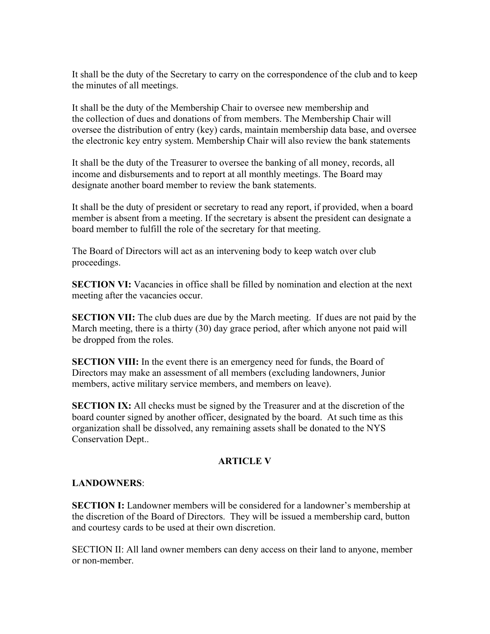It shall be the duty of the Secretary to carry on the correspondence of the club and to keep the minutes of all meetings.

It shall be the duty of the Membership Chair to oversee new membership and the collection of dues and donations of from members. The Membership Chair will oversee the distribution of entry (key) cards, maintain membership data base, and oversee the electronic key entry system. Membership Chair will also review the bank statements

It shall be the duty of the Treasurer to oversee the banking of all money, records, all income and disbursements and to report at all monthly meetings. The Board may

designate another board member to review the bank statements.<br>It shall be the duty of president or secretary to read any report, if provided, when a board member is absent from a meeting. If the secretary is absent the president can designate a board member to fulfill the role of the secretary for that meeting.

The Board of Directors will act as an intervening body to keep watch over club proceedings.

**SECTION VI:** Vacancies in office shall be filled by nomination and election at the next meeting after the vacancies occur.

**SECTION VII:** The club dues are due by the March meeting. If dues are not paid by the March meeting, there is a thirty (30) day grace period, after which anyone not paid will be dropped from the roles.

SECTION VIII: In the event there is an emergency need for funds, the Board of Directors may make an assessment of all members (excluding landowners, Junior members, active military service members, and members on leave).

SECTION IX: All checks must be signed by the Treasurer and at the discretion of the board counter signed by another officer, designated by the board. At such time as this organization shall be dissolved, any remaining assets shall be donated to the NYS Conservation Dept..

# ARTICLE V

# LANDOWNERS:

SECTION I: Landowner members will be considered for a landowner's membership at the discretion of the Board of Directors. They will be issued a membership card, button and courtesy cards to be used at their own discretion.

SECTION II: All land owner members can deny access on their land to anyone, member or non-member.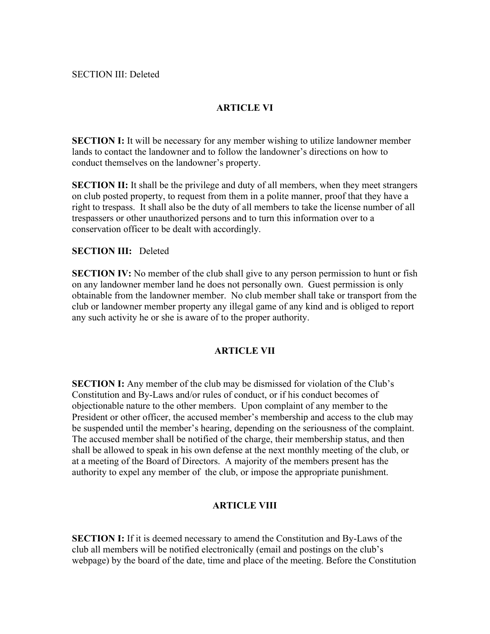### SECTION III: Deleted

# ARTICLE VI

SECTION I: It will be necessary for any member wishing to utilize landowner member lands to contact the landowner and to follow the landowner's directions on how to conduct themselves on the landowner's property.

SECTION II: It shall be the privilege and duty of all members, when they meet strangers on club posted property, to request from them in a polite manner, proof that they have a right to trespass. It shall also be the duty of all members to take the license number of all trespassers or other unauthorized persons and to turn this information over to a conservation officer to be dealt with accordingly.

### SECTION III: Deleted

SECTION IV: No member of the club shall give to any person permission to hunt or fish on any landowner member land he does not personally own. Guest permission is only obtainable from the landowner member. No club member shall take or transport from the club or landowner member property any illegal game of any kind and is obliged to report any such activity he or she is aware of to the proper authority.

### ARTICLE VII

SECTION I: Any member of the club may be dismissed for violation of the Club's Constitution and By-Laws and/or rules of conduct, or if his conduct becomes of objectionable nature to the other members. Upon complaint of any member to the President or other officer, the accused member's membership and access to the club may be suspended until the member's hearing, depending on the seriousness of the complaint. The accused member shall be notified of the charge, their membership status, and then shall be allowed to speak in his own defense at the next monthly meeting of the club, or at a meeting of the Board of Directors. A majority of the members present has the authority to expel any member of the club, or impose the appropriate punishment.

### ARTICLE VIII

**SECTION I:** If it is deemed necessary to amend the Constitution and By-Laws of the club all members will be notified electronically (email and postings on the club's webpage) by the board of the date, time and place of the meeting. Before the Constitution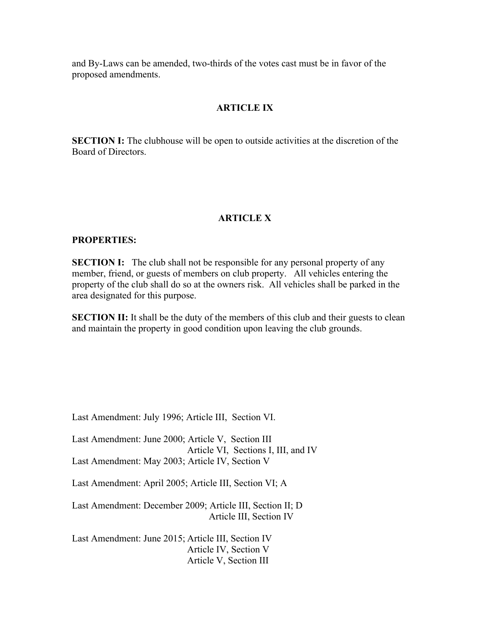and By-Laws can be amended, two-thirds of the votes cast must be in favor of the proposed amendments.

### ARTICLE IX

SECTION I: The clubhouse will be open to outside activities at the discretion of the Board of Directors.

### ARTICLE X

### PROPERTIES:

**SECTION I:** The club shall not be responsible for any personal property of any member, friend, or guests of members on club property. All vehicles entering the property of the club shall do so at the owners risk. All vehicles shall be parked in the area designated for this purpose.

SECTION II: It shall be the duty of the members of this club and their guests to clean and maintain the property in good condition upon leaving the club grounds.

Last Amendment: July 1996; Article III, Section VI.

Last Amendment: June 2000; Article V, Section III Article VI, Sections I, III, and IV Last Amendment: May 2003; Article IV, Section V

Last Amendment: April 2005; Article III, Section VI; A

Last Amendment: December 2009; Article III, Section II; D Article III, Section IV

Last Amendment: June 2015; Article III, Section IV Article IV, Section V Article V, Section III